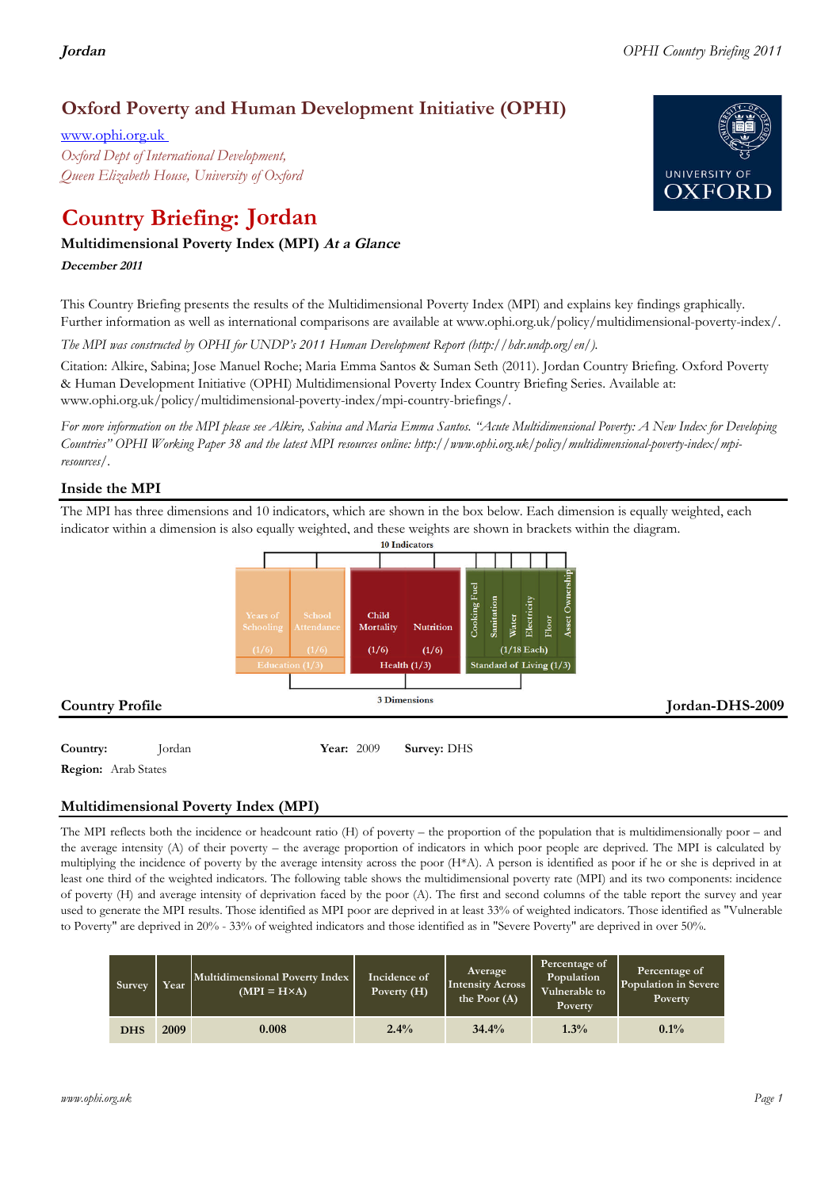## **Oxford Poverty and Human Development Initiative (OPHI)**

www.ophi.org.uk *Oxford Dept of International Development, Queen Elizabeth House, University of Oxford*

# **Country Briefing: Jordan**

### **Multidimensional Poverty Index (MPI) At <sup>a</sup> Glance**

**December <sup>2011</sup>**

This Country Briefing presents the results of the Multidimensional Poverty Index (MPI) and explains key findings graphically. Further information as well as international comparisons are available at www.ophi.org.uk/policy/multidimensional-poverty-index/.

*The MPI was constructed by OPHI for UNDP's 2011 Human Development Report (http://hdr.undp.org/en/).*

Citation: Alkire, Sabina; Jose Manuel Roche; Maria Emma Santos & Suman Seth (2011). Jordan Country Briefing. Oxford Poverty & Human Development Initiative (OPHI) Multidimensional Poverty Index Country Briefing Series. Available at: www.ophi.org.uk/policy/multidimensional-poverty-index/mpi-country-briefings/.

*For more information on the MPI please see Alkire, Sabina and Maria Emma Santos. "Acute Multidimensional Poverty: A New Index for Developing Countries" OPHI Working Paper 38 and the latest MPI resources online: http://www.ophi.org.uk/policy/multidimensional-poverty-index/mpiresources/.*

#### **Inside the MPI**

The MPI has three dimensions and 10 indicators, which are shown in the box below. Each dimension is equally weighted, each indicator within a dimension is also equally weighted, and these weights are shown in brackets within the diagram.



**Region:** Arab States

#### **Multidimensional Poverty Index (MPI)**

The MPI reflects both the incidence or headcount ratio (H) of poverty – the proportion of the population that is multidimensionally poor – and the average intensity (A) of their poverty – the average proportion of indicators in which poor people are deprived. The MPI is calculated by multiplying the incidence of poverty by the average intensity across the poor (H\*A). A person is identified as poor if he or she is deprived in at least one third of the weighted indicators. The following table shows the multidimensional poverty rate (MPI) and its two components: incidence of poverty (H) and average intensity of deprivation faced by the poor (A). The first and second columns of the table report the survey and year used to generate the MPI results. Those identified as MPI poor are deprived in at least 33% of weighted indicators. Those identified as "Vulnerable to Poverty" are deprived in 20% - 33% of weighted indicators and those identified as in "Severe Poverty" are deprived in over 50%.

| Survey     | Year | Multidimensional Poverty Index<br>$(MPI = H \times A)$ | Incidence of<br>Poverty $(H)$ | <b>Average</b><br><b>Intensity Across</b><br>the Poor (A) | Percentage of<br>Population<br>Vulnerable to<br>Poverty | Percentage of<br>Population in Severe<br><b>Poverty</b> |  |
|------------|------|--------------------------------------------------------|-------------------------------|-----------------------------------------------------------|---------------------------------------------------------|---------------------------------------------------------|--|
| <b>DHS</b> | 2009 | 0.008                                                  | 2.4%                          | 34.4%                                                     | 1.3%                                                    | 0.1%                                                    |  |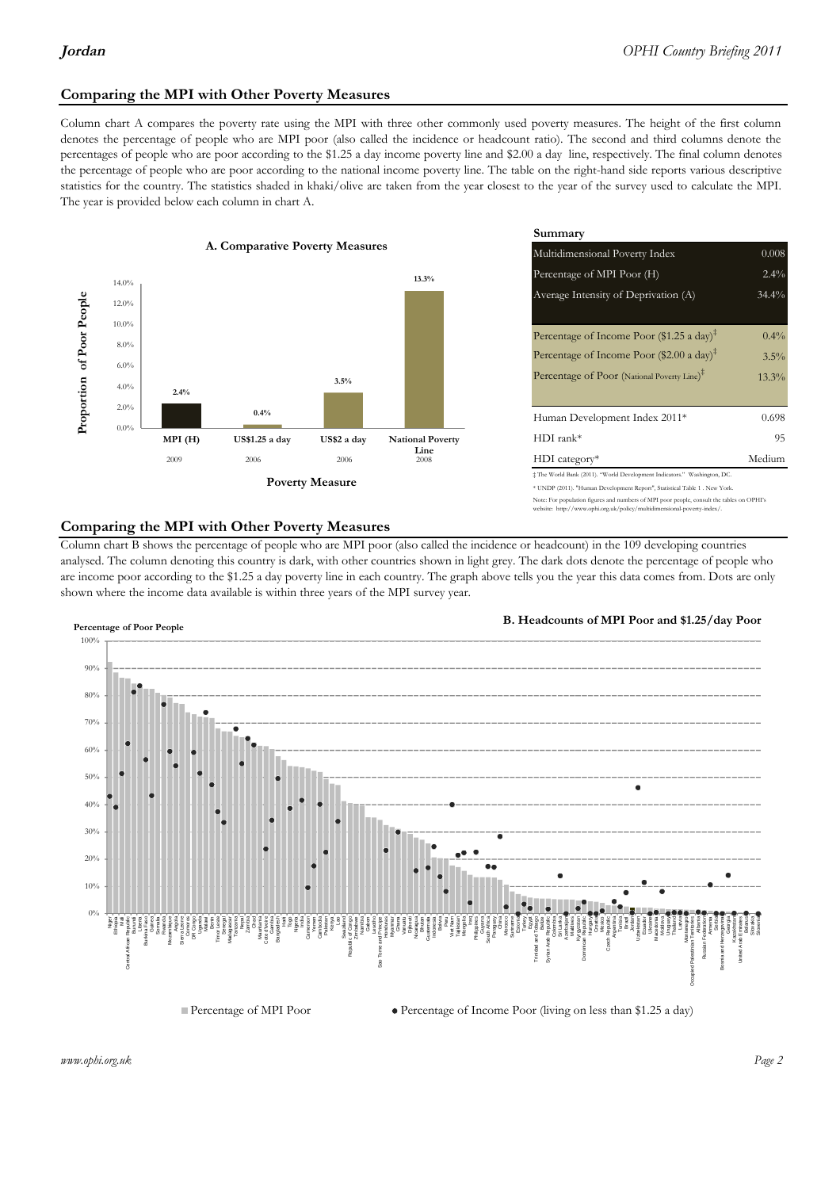#### **Comparing the MPI with Other Poverty Measures**

Column chart A compares the poverty rate using the MPI with three other commonly used poverty measures. The height of the first column denotes the percentage of people who are MPI poor (also called the incidence or headcount ratio). The second and third columns denote the percentages of people who are poor according to the \$1.25 a day income poverty line and \$2.00 a day line, respectively. The final column denotes the percentage of people who are poor according to the national income poverty line. The table on the right-hand side reports various descriptive statistics for the country. The statistics shaded in khaki/olive are taken from the year closest to the year of the survey used to calculate the MPI. The year is provided below each column in chart A.



| erty Measures<br>Multidimensional Poverty Index<br>Percentage of MPI Poor (H)                                                                                                 | 0.008   |
|-------------------------------------------------------------------------------------------------------------------------------------------------------------------------------|---------|
|                                                                                                                                                                               |         |
| 13.3%                                                                                                                                                                         | 2.4%    |
| Average Intensity of Deprivation (A)                                                                                                                                          | 34.4%   |
| Percentage of Income Poor $(\$1.25 \text{ a day})^{\ddagger}$                                                                                                                 | $0.4\%$ |
| Percentage of Income Poor (\$2.00 a day) <sup>‡</sup>                                                                                                                         | 3.5%    |
| Percentage of Poor (National Poverty Line) <sup>#</sup><br>3.5%                                                                                                               | 13.3%   |
| Human Development Index 2011*                                                                                                                                                 | 0.698   |
| $HDI$ rank*<br>US\$2 a day<br><b>National Poverty</b>                                                                                                                         | 95      |
| Line<br>$HDI category*$<br>2006<br>2008                                                                                                                                       | Medium  |
| $\pm$ The World Bank (2011). "World Development Indicators." Washington, DC.<br><b>⁄Ieasure</b><br>* UNDP (2011). "Human Development Report", Statistical Table 1 . New York. |         |

#### te: For population figures and numbers of MPI poor people, consult the tables on OPHI's te: http://www.ophi.org.uk/policy/multidimensional-poverty-index/

#### **Comparing the MPI with Other Poverty Measures**

Column chart B shows the percentage of people who are MPI poor (also called the incidence or headcount) in the 109 developing countries analysed. The column denoting this country is dark, with other countries shown in light grey. The dark dots denote the percentage of people who are income poor according to the \$1.25 a day poverty line in each country. The graph above tells you the year this data comes from. Dots are only shown where the income data available is within three years of the MPI survey year.



**B. Headcounts of MPI Poor and \$1.25/day Poor**



 $\bullet$  Percentage of Income Poor (living on less than \$1.25 a day)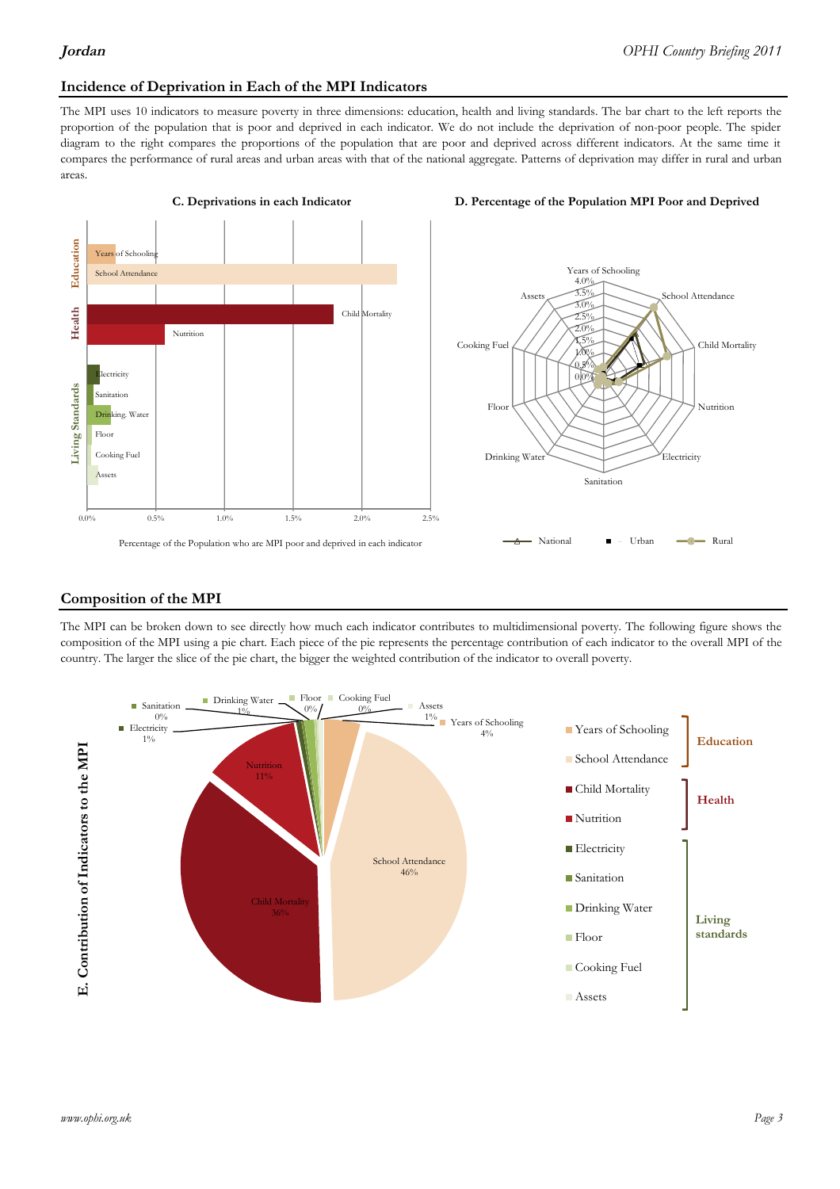## **Incidence of Deprivation in Each of the MPI Indicators**

The MPI uses 10 indicators to measure poverty in three dimensions: education, health and living standards. The bar chart to the left reports the proportion of the population that is poor and deprived in each indicator. We do not include the deprivation of non-poor people. The spider diagram to the right compares the proportions of the population that are poor and deprived across different indicators. At the same time it compares the performance of rural areas and urban areas with that of the national aggregate. Patterns of deprivation may differ in rural and urban areas.



#### **C. Deprivations in each Indicator D. Percentage of the Population MPI Poor and Deprived**



#### **Composition of the MPI**

The MPI can be broken down to see directly how much each indicator contributes to multidimensional poverty. The following figure shows the composition of the MPI using a pie chart. Each piece of the pie represents the percentage contribution of each indicator to the overall MPI of the country. The larger the slice of the pie chart, the bigger the weighted contribution of the indicator to overall poverty.

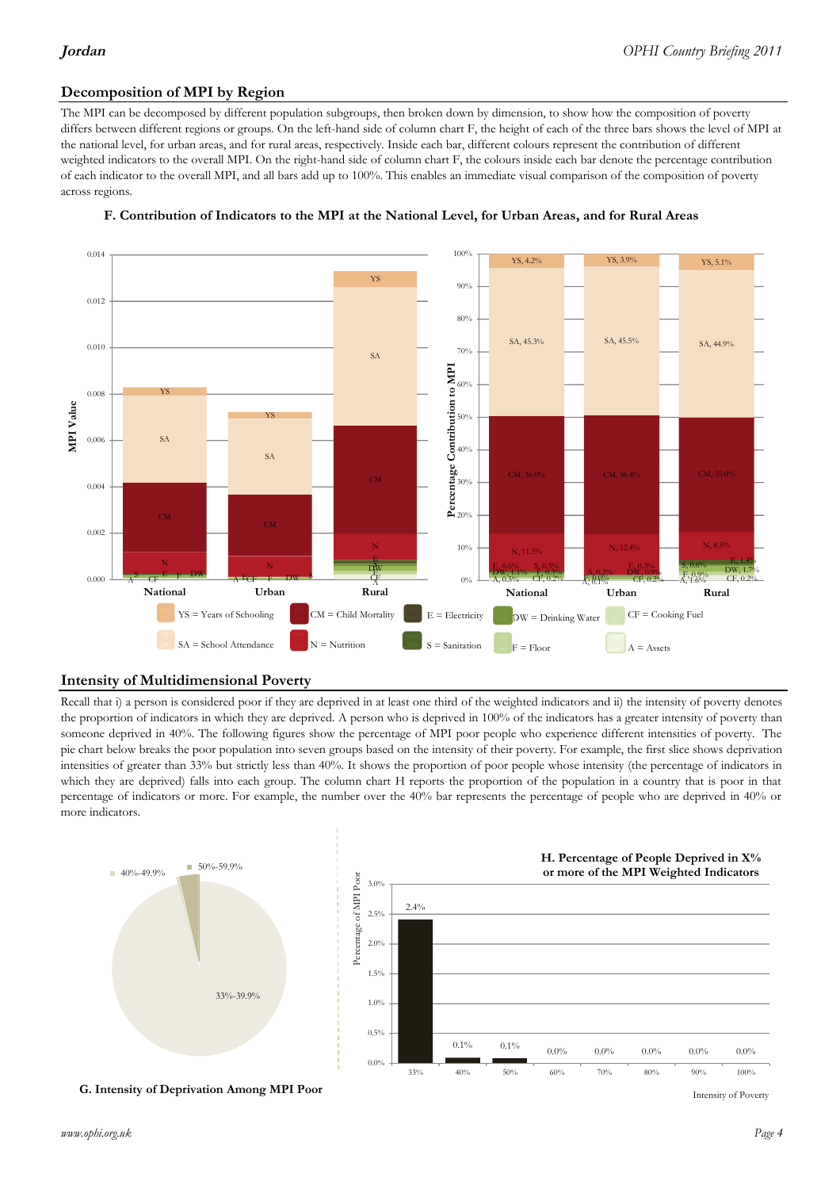#### **Decomposition of MPI by Region**

The MPI can be decomposed by different population subgroups, then broken down by dimension, to show how the composition of poverty differs between different regions or groups. On the left-hand side of column chart F, the height of each of the three bars shows the level of MPI at the national level, for urban areas, and for rural areas, respectively. Inside each bar, different colours represent the contribution of different weighted indicators to the overall MPI. On the right-hand side of column chart F, the colours inside each bar denote the percentage contribution of each indicator to the overall MPI, and all bars add up to 100%. This enables an immediate visual comparison of the composition of poverty across regions.



#### **F. Contribution of Indicators to the MPI at the National Level, for Urban Areas, and for Rural Areas**

#### **Intensity of Multidimensional Poverty**

Recall that i) a person is considered poor if they are deprived in at least one third of the weighted indicators and ii) the intensity of poverty denotes the proportion of indicators in which they are deprived. A person who is deprived in 100% of the indicators has a greater intensity of poverty than someone deprived in 40%. The following figures show the percentage of MPI poor people who experience different intensities of poverty. The pie chart below breaks the poor population into seven groups based on the intensity of their poverty. For example, the first slice shows deprivation intensities of greater than 33% but strictly less than 40%. It shows the proportion of poor people whose intensity (the percentage of indicators in which they are deprived) falls into each group. The column chart H reports the proportion of the population in a country that is poor in that percentage of indicators or more. For example, the number over the 40% bar represents the percentage of people who are deprived in 40% or more indicators.



**G. Intensity of Deprivation Among MPI Poor**

Intensity of Poverty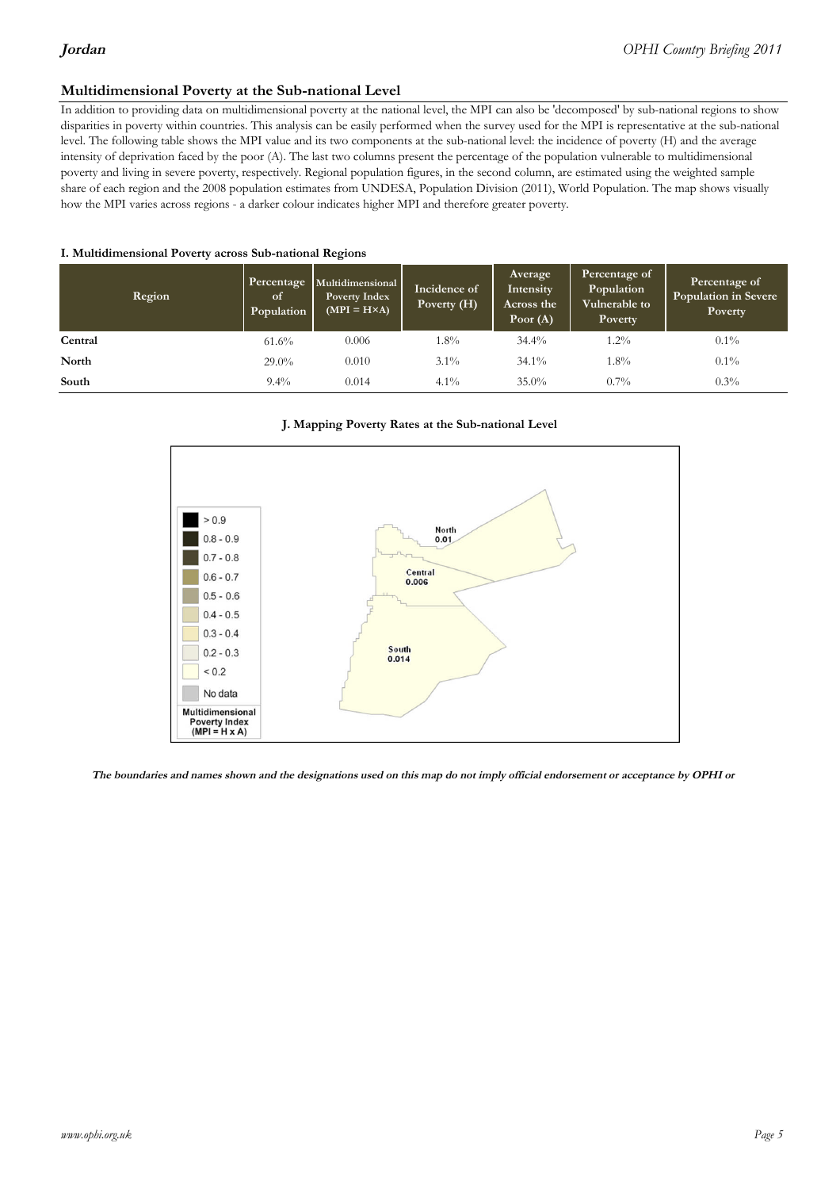#### **Multidimensional Poverty at the Sub-national Level**

In addition to providing data on multidimensional poverty at the national level, the MPI can also be 'decomposed' by sub-national regions to show disparities in poverty within countries. This analysis can be easily performed when the survey used for the MPI is representative at the sub-national level. The following table shows the MPI value and its two components at the sub-national level: the incidence of poverty (H) and the average intensity of deprivation faced by the poor (A). The last two columns present the percentage of the population vulnerable to multidimensional poverty and living in severe poverty, respectively. Regional population figures, in the second column, are estimated using the weighted sample share of each region and the 2008 population estimates from UNDESA, Population Division (2011), World Population. The map shows visually how the MPI varies across regions - a darker colour indicates higher MPI and therefore greater poverty.

#### **I. Multidimensional Poverty across Sub-national Regions**

| Region  | Percentage<br>of<br>Population | Multidimensional<br><b>Poverty Index</b><br>$(MPI = H \times A)$ | Incidence of<br>Poverty (H) | Average<br>Intensity<br>Across the<br>Poor $(A)$ | Percentage of<br>Population<br>Vulnerable to<br><b>Poverty</b> | Percentage of<br><b>Population in Severe</b><br>Poverty |  |
|---------|--------------------------------|------------------------------------------------------------------|-----------------------------|--------------------------------------------------|----------------------------------------------------------------|---------------------------------------------------------|--|
| Central | $61.6\%$                       | 0.006                                                            | $1.8\%$                     | $34.4\%$                                         | $1.2\%$                                                        | $0.1\%$                                                 |  |
| North   | $29.0\%$                       | 0.010                                                            | $3.1\%$                     | $34.1\%$                                         | $1.8\%$                                                        | $0.1\%$                                                 |  |
| South   | $9.4\%$                        | 0.014                                                            | $4.1\%$                     | $35.0\%$                                         | $0.7\%$                                                        | $0.3\%$                                                 |  |

#### **J. Mapping Poverty Rates at the Sub-national Level**



The boundaries and names shown and the designations used on this map do not imply official endorsement or acceptance by OPHI or